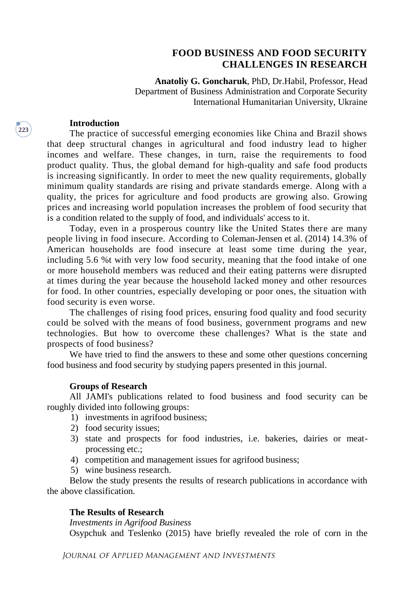# **FOOD BUSINESS AND FOOD SECURITY CHALLENGES IN RESEARCH**

**Anatoliy G. Goncharuk**, PhD, Dr.Habil, Professor, Head Department of Business Administration and Corporate Security International Humanitarian University, Ukraine

## **Introduction**

The practice of successful emerging economies like China and Brazil shows that deep structural changes in agricultural and food industry lead to higher incomes and welfare. These changes, in turn, raise the requirements to food product quality. Thus, the global demand for high-quality and safe food products is increasing significantly. In order to meet the new quality requirements, globally minimum quality standards are rising and private standards emerge. Along with a quality, the prices for agriculture and food products are growing also. Growing prices and increasing world population increases the problem of food security that is a condition related to the supply of food, and individuals' access to it.

Today, even in a prosperous country like the United States there are many people living in food insecure. According to Coleman-Jensen et al. (2014) 14.3% of American households are food insecure at least some time during the year, including 5.6 %t with very low food security, meaning that the food intake of one or more household members was reduced and their eating patterns were disrupted at times during the year because the household lacked money and other resources for food. In other countries, especially developing or poor ones, the situation with food security is even worse.

The challenges of rising food prices, ensuring food quality and food security could be solved with the means of food business, government programs and new technologies. But how to overcome these challenges? What is the state and prospects of food business?

We have tried to find the answers to these and some other questions concerning food business and food security by studying papers presented in this journal.

#### **Groups of Research**

All JAMI's publications related to food business and food security can be roughly divided into following groups:

- 1) investments in agrifood business;
- 2) food security issues;
- 3) state and prospects for food industries, i.e. bakeries, dairies or meatprocessing etc.;
- 4) competition and management issues for agrifood business;
- 5) wine business research.

Below the study presents the results of research publications in accordance with the above classification.

## **The Results of Research**

*Investments in Agrifood Business*

Osypchuk and Teslenko (2015) have briefly revealed the role of corn in the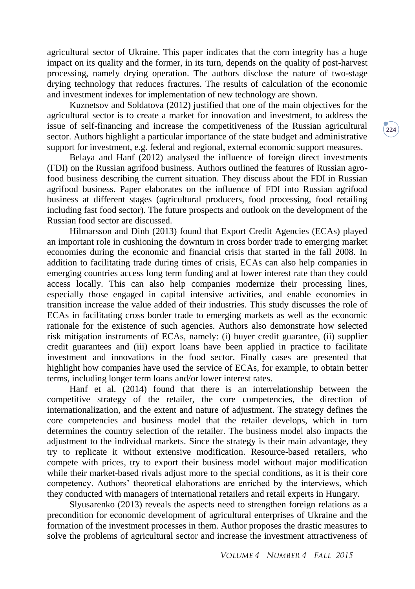agricultural sector of Ukraine. This paper indicates that the corn integrity has a huge impact on its quality and the former, in its turn, depends on the quality of post-harvest processing, namely drying operation. The authors disclose the nature of two-stage drying technology that reduces fractures. The results of calculation of the economic and investment indexes for implementation of new technology are shown.

Kuznetsov and Soldatova (2012) justified that one of the main objectives for the agricultural sector is to create a market for innovation and investment, to address the issue of self-financing and increase the competitiveness of the Russian agricultural sector. Authors highlight a particular importance of the state budget and administrative support for investment, e.g. federal and regional, external economic support measures.

Belaya and Hanf (2012) analysed the influence of foreign direct investments (FDI) on the Russian agrifood business. Authors outlined the features of Russian agrofood business describing the current situation. They discuss about the FDI in Russian agrifood business. Paper elaborates on the influence of FDI into Russian agrifood business at different stages (agricultural producers, food processing, food retailing including fast food sector). The future prospects and outlook on the development of the Russian food sector are discussed.

Hilmarsson and Dinh (2013) found that Export Credit Agencies (ECAs) played an important role in cushioning the downturn in cross border trade to emerging market economies during the economic and financial crisis that started in the fall 2008. In addition to facilitating trade during times of crisis, ECAs can also help companies in emerging countries access long term funding and at lower interest rate than they could access locally. This can also help companies modernize their processing lines, especially those engaged in capital intensive activities, and enable economies in transition increase the value added of their industries. This study discusses the role of ECAs in facilitating cross border trade to emerging markets as well as the economic rationale for the existence of such agencies. Authors also demonstrate how selected risk mitigation instruments of ECAs, namely: (i) buyer credit guarantee, (ii) supplier credit guarantees and (iii) export loans have been applied in practice to facilitate investment and innovations in the food sector. Finally cases are presented that highlight how companies have used the service of ECAs, for example, to obtain better terms, including longer term loans and/or lower interest rates.

Hanf et al. (2014) found that there is an interrelationship between the competitive strategy of the retailer, the core competencies, the direction of internationalization, and the extent and nature of adjustment. The strategy defines the core competencies and business model that the retailer develops, which in turn determines the country selection of the retailer. The business model also impacts the adjustment to the individual markets. Since the strategy is their main advantage, they try to replicate it without extensive modification. Resource-based retailers, who compete with prices, try to export their business model without major modification while their market-based rivals adjust more to the special conditions, as it is their core competency. Authors' theoretical elaborations are enriched by the interviews, which they conducted with managers of international retailers and retail experts in Hungary.

Slyusarenko (2013) reveals the aspects need to strengthen foreign relations as a precondition for economic development of agricultural enterprises of Ukraine and the formation of the investment processes in them. Author proposes the drastic measures to solve the problems of agricultural sector and increase the investment attractiveness of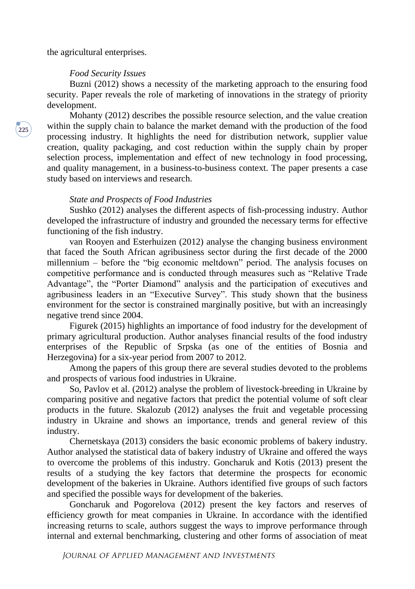the agricultural enterprises.

### *Food Security Issues*

Buzni (2012) shows a necessity of the marketing approach to the ensuring food security. Paper reveals the role of marketing of innovations in the strategy of priority development.

Mohanty (2012) describes the possible resource selection, and the value creation within the supply chain to balance the market demand with the production of the food processing industry. It highlights the need for distribution network, supplier value creation, quality packaging, and cost reduction within the supply chain by proper selection process, implementation and effect of new technology in food processing, and quality management, in a business-to-business context. The paper presents a case study based on interviews and research.

#### *State and Prospects of Food Industries*

Sushko (2012) analyses the different aspects of fish-processing industry. Author developed the infrastructure of industry and grounded the necessary terms for effective functioning of the fish industry.

van Rooyen and Esterhuizen (2012) analyse the changing business environment that faced the South African agribusiness sector during the first decade of the 2000 millennium – before the "big economic meltdown" period. The analysis focuses on competitive performance and is conducted through measures such as "Relative Trade Advantage", the "Porter Diamond" analysis and the participation of executives and agribusiness leaders in an "Executive Survey". This study shown that the business environment for the sector is constrained marginally positive, but with an increasingly negative trend since 2004.

Figurek (2015) highlights an importance of food industry for the development of primary agricultural production. Author analyses financial results of the food industry enterprises of the Republic of Srpska (as one of the entities of Bosnia and Herzegovina) for a six-year period from 2007 to 2012.

Among the papers of this group there are several studies devoted to the problems and prospects of various food industries in Ukraine.

So, Pavlov et al. (2012) analyse the problem of livestock-breeding in Ukraine by comparing positive and negative factors that predict the potential volume of soft clear products in the future. Skalozub (2012) analyses the fruit and vegetable processing industry in Ukraine and shows an importance, trends and general review of this industry.

Chernetskaya (2013) considers the basic economic problems of bakery industry. Author analysed the statistical data of bakery industry of Ukraine and offered the ways to overcome the problems of this industry. Goncharuk and Kotis (2013) present the results of a studying the key factors that determine the prospects for economic development of the bakeries in Ukraine. Authors identified five groups of such factors and specified the possible ways for development of the bakeries.

Goncharuk and Pogorelova (2012) present the key factors and reserves of efficiency growth for meat companies in Ukraine. In accordance with the identified increasing returns to scale, authors suggest the ways to improve performance through internal and external benchmarking, clustering and other forms of association of meat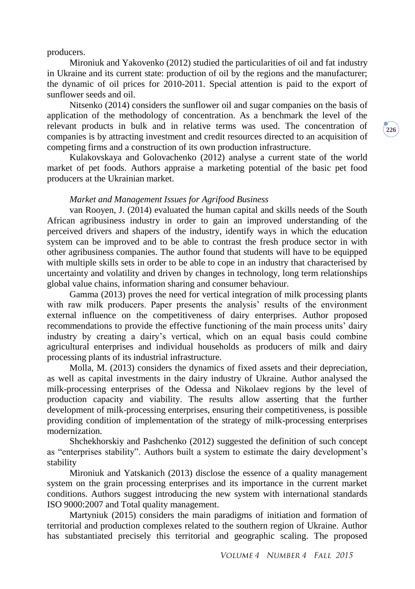producers.

Mironiuk and Yakovenko (2012) studied the particularities of oil and fat industry in Ukraine and its current state: production of oil by the regions and the manufacturer; the dynamic of oil prices for 2010-2011. Special attention is paid to the export of sunflower seeds and oil.

Nitsenko (2014) considers the sunflower oil and sugar companies on the basis of application of the methodology of concentration. As a benchmark the level of the relevant products in bulk and in relative terms was used. The concentration of companies is by attracting investment and credit resources directed to an acquisition of competing firms and a construction of its own production infrastructure.

Kulakovskaya and Golovachenko (2012) analyse a current state of the world market of pet foods. Authors appraise a marketing potential of the basic pet food producers at the Ukrainian market.

# *Market and Management Issues for Agrifood Business*

van Rooyen, J. (2014) evaluated the human capital and skills needs of the South African agribusiness industry in order to gain an improved understanding of the perceived drivers and shapers of the industry, identify ways in which the education system can be improved and to be able to contrast the fresh produce sector in with other agribusiness companies. The author found that students will have to be equipped with multiple skills sets in order to be able to cope in an industry that characterised by uncertainty and volatility and driven by changes in technology, long term relationships global value chains, information sharing and consumer behaviour.

Gamma (2013) proves the need for vertical integration of milk processing plants with raw milk producers. Paper presents the analysis' results of the environment external influence on the competitiveness of dairy enterprises. Author proposed recommendations to provide the effective functioning of the main process units' dairy industry by creating a dairy's vertical, which on an equal basis could combine agricultural enterprises and individual households as producers of milk and dairy processing plants of its industrial infrastructure.

Molla, M. (2013) considers the dynamics of fixed assets and their depreciation, as well as capital investments in the dairy industry of Ukraine. Author analysed the milk-processing enterprises of the Odessa and Nikolaev regions by the level of production capacity and viability. The results allow asserting that the further development of milk-processing enterprises, ensuring their competitiveness, is possible providing condition of implementation of the strategy of milk-processing enterprises modernization.

Shchekhorskiy and Pashchenko (2012) suggested the definition of such concept as "enterprises stability". Authors built a system to estimate the dairy development's stability

Mironiuk and Yatskanich (2013) disclose the essence of a quality management system on the grain processing enterprises and its importance in the current market conditions. Authors suggest introducing the new system with international standards ISO 9000:2007 and Total quality management.

Martyniuk (2015) considers the main paradigms of initiation and formation of territorial and production complexes related to the southern region of Ukraine. Author has substantiated precisely this territorial and geographic scaling. The proposed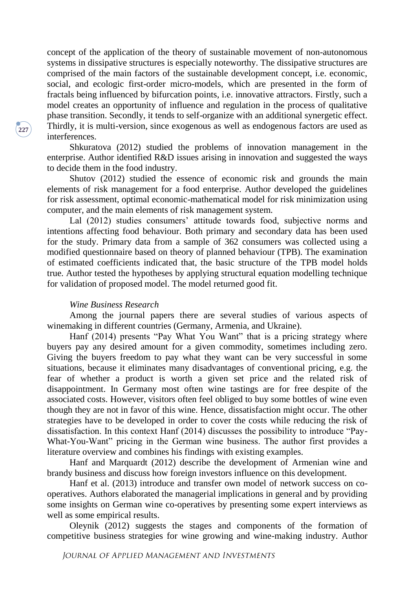concept of the application of the theory of sustainable movement of non-autonomous systems in dissipative structures is especially noteworthy. The dissipative structures are comprised of the main factors of the sustainable development concept, i.e. economic, social, and ecologic first-order micro-models, which are presented in the form of fractals being influenced by bifurcation points, i.e. innovative attractors. Firstly, such a model creates an opportunity of influence and regulation in the process of qualitative phase transition. Secondly, it tends to self-organize with an additional synergetic effect. Thirdly, it is multi-version, since exogenous as well as endogenous factors are used as interferences.

Shkuratova (2012) studied the problems of innovation management in the enterprise. Author identified R&D issues arising in innovation and suggested the ways to decide them in the food industry.

Shutov (2012) studied the essence of economic risk and grounds the main elements of risk management for a food enterprise. Author developed the guidelines for risk assessment, optimal economic-mathematical model for risk minimization using computer, and the main elements of risk management system.

Lal (2012) studies consumers' attitude towards food, subjective norms and intentions affecting food behaviour. Both primary and secondary data has been used for the study. Primary data from a sample of 362 consumers was collected using a modified questionnaire based on theory of planned behaviour (TPB). The examination of estimated coefficients indicated that, the basic structure of the TPB model holds true. Author tested the hypotheses by applying structural equation modelling technique for validation of proposed model. The model returned good fit.

### *Wine Business Research*

Among the journal papers there are several studies of various aspects of winemaking in different countries (Germany, Armenia, and Ukraine).

Hanf (2014) presents "Pay What You Want" that is a pricing strategy where buyers pay any desired amount for a given commodity, sometimes including zero. Giving the buyers freedom to pay what they want can be very successful in some situations, because it eliminates many disadvantages of conventional pricing, e.g. the fear of whether a product is worth a given set price and the related risk of disappointment. In Germany most often wine tastings are for free despite of the associated costs. However, visitors often feel obliged to buy some bottles of wine even though they are not in favor of this wine. Hence, dissatisfaction might occur. The other strategies have to be developed in order to cover the costs while reducing the risk of dissatisfaction. In this context Hanf (2014) discusses the possibility to introduce "Pay-What-You-Want" pricing in the German wine business. The author first provides a literature overview and combines his findings with existing examples.

Hanf and Marquardt (2012) describe the development of Armenian wine and brandy business and discuss how foreign investors influence on this development.

Hanf et al. (2013) introduce and transfer own model of network success on cooperatives. Authors elaborated the managerial implications in general and by providing some insights on German wine co-operatives by presenting some expert interviews as well as some empirical results.

Oleynik (2012) suggests the stages and components of the formation of competitive business strategies for wine growing and wine-making industry. Author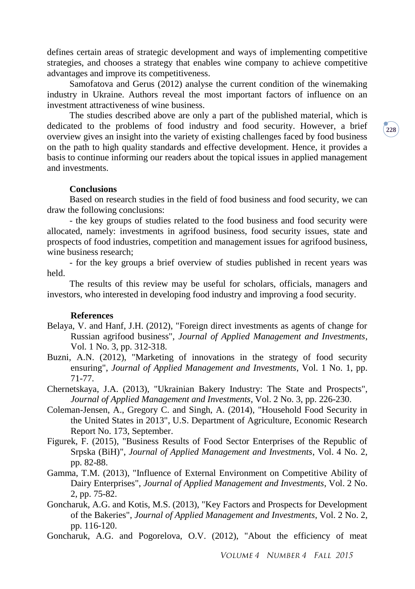defines certain areas of strategic development and ways of implementing competitive strategies, and chooses a strategy that enables wine company to achieve competitive advantages and improve its competitiveness.

Samofatova and Gerus (2012) analyse the current condition of the winemaking industry in Ukraine. Authors reveal the most important factors of influence on an investment attractiveness of wine business.

The studies described above are only a part of the published material, which is dedicated to the problems of food industry and food security. However, a brief overview gives an insight into the variety of existing challenges faced by food business on the path to high quality standards and effective development. Hence, it provides a basis to continue informing our readers about the topical issues in applied management and investments.

### **Conclusions**

Based on research studies in the field of food business and food security, we can draw the following conclusions:

- the key groups of studies related to the food business and food security were allocated, namely: investments in agrifood business, food security issues, state and prospects of food industries, competition and management issues for agrifood business, wine business research;

- for the key groups a brief overview of studies published in recent years was held.

The results of this review may be useful for scholars, officials, managers and investors, who interested in developing food industry and improving a food security.

### **References**

- Belaya, V. and Hanf, J.H. (2012), "Foreign direct investments as agents of change for Russian agrifood business", *Journal of Applied Management and Investments*, Vol. 1 No. 3, pp. 312-318.
- Buzni, A.N. (2012), "Marketing of innovations in the strategy of food security ensuring", *Journal of Applied Management and Investments*, Vol. 1 No. 1, pp. 71-77.
- Chernetskaya, J.A. (2013), "Ukrainian Bakery Industry: The State and Prospects", *Journal of Applied Management and Investments*, Vol. 2 No. 3, pp. 226-230.
- Coleman-Jensen, A., Gregory C. and Singh, A. (2014), "Household Food Security in the United States in 2013", U.S. Department of Agriculture, Economic Research Report No. 173, September.
- Figurek, F. (2015), "Business Results of Food Sector Enterprises of the Republic of Srpska (BiH)", *Journal of Applied Management and Investments*, Vol. 4 No. 2, pp. 82-88.
- Gamma, T.M. (2013), "Influence of External Environment on Competitive Ability of Dairy Enterprises", *Journal of Applied Management and Investments*, Vol. 2 No. 2, pp. 75-82.
- Goncharuk, A.G. and Kotis, M.S. (2013), "Key Factors and Prospects for Development of the Bakeries", *Journal of Applied Management and Investments*, Vol. 2 No. 2, pp. 116-120.
- Goncharuk, A.G. and Pogorelova, O.V. (2012), "About the efficiency of meat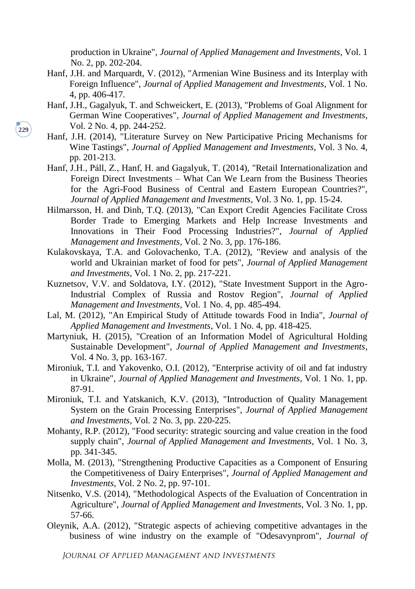production in Ukraine", *Journal of Applied Management and Investments*, Vol. 1 No. 2, pp. 202-204.

- Hanf, J.H. and Marquardt, V. (2012), "Armenian Wine Business and its Interplay with Foreign Influence", *Journal of Applied Management and Investments*, Vol. 1 No. 4, pp. 406-417.
- Hanf, J.H., Gagalyuk, T. and Schweickert, E. (2013), "Problems of Goal Alignment for German Wine Cooperatives", *Journal of Applied Management and Investments*, Vol. 2 No. 4, pp. 244-252.
- Hanf, J.H. (2014), "Literature Survey on New Participative Pricing Mechanisms for Wine Tastings", *Journal of Applied Management and Investments*, Vol. 3 No. 4, pp. 201-213.
- Hanf, J.H., Páll, Z., Hanf, H. and Gagalyuk, T. (2014), "Retail Internationalization and Foreign Direct Investments – What Can We Learn from the Business Theories for the Agri-Food Business of Central and Eastern European Countries?", *Journal of Applied Management and Investments*, Vol. 3 No. 1, pp. 15-24.
- Hilmarsson, H. and Dinh, T.Q. (2013), "Can Export Credit Agencies Facilitate Cross Border Trade to Emerging Markets and Help Increase Investments and Innovations in Their Food Processing Industries?", *Journal of Applied Management and Investments*, Vol. 2 No. 3, pp. 176-186.
- Kulakovskaya, T.A. and Golovachenko, T.A. (2012), "Review and analysis of the world and Ukrainian market of food for pets", *Journal of Applied Management and Investments*, Vol. 1 No. 2, pp. 217-221.
- Kuznetsov, V.V. and Soldatova, I.Y. (2012), "State Investment Support in the Agro-Industrial Complex of Russia and Rostov Region", *Journal of Applied Management and Investments*, Vol. 1 No. 4, pp. 485-494.
- Lal, M. (2012), "An Empirical Study of Attitude towards Food in India", *Journal of Applied Management and Investments*, Vol. 1 No. 4, pp. 418-425.
- Martyniuk, H. (2015), "Creation of an Information Model of Agricultural Holding Sustainable Development", *Journal of Applied Management and Investments*, Vol. 4 No. 3, pp. 163-167.
- Mironiuk, T.I. and Yakovenko, O.I. (2012), "Enterprise activity of oil and fat industry in Ukraine", *Journal of Applied Management and Investments*, Vol. 1 No. 1, pp. 87-91.
- Mironiuk, T.I. and Yatskanich, K.V. (2013), "Introduction of Quality Management System on the Grain Processing Enterprises", *Journal of Applied Management and Investments*, Vol. 2 No. 3, pp. 220-225.
- Mohanty, R.P. (2012), "Food security: strategic sourcing and value creation in the food supply chain", *Journal of Applied Management and Investments*, Vol. 1 No. 3, pp. 341-345.
- Molla, M. (2013), "Strengthening Productive Capacities as a Component of Ensuring the Competitiveness of Dairy Enterprises", *Journal of Applied Management and Investments*, Vol. 2 No. 2, pp. 97-101.
- Nitsenko, V.S. (2014), "Methodological Aspects of the Evaluation of Concentration in Agriculture", *Journal of Applied Management and Investments*, Vol. 3 No. 1, pp. 57-66.
- Oleynik, A.A. (2012), "Strategic aspects of achieving competitive advantages in the business of wine industry on the example of "Odesavynprom", *Journal of*